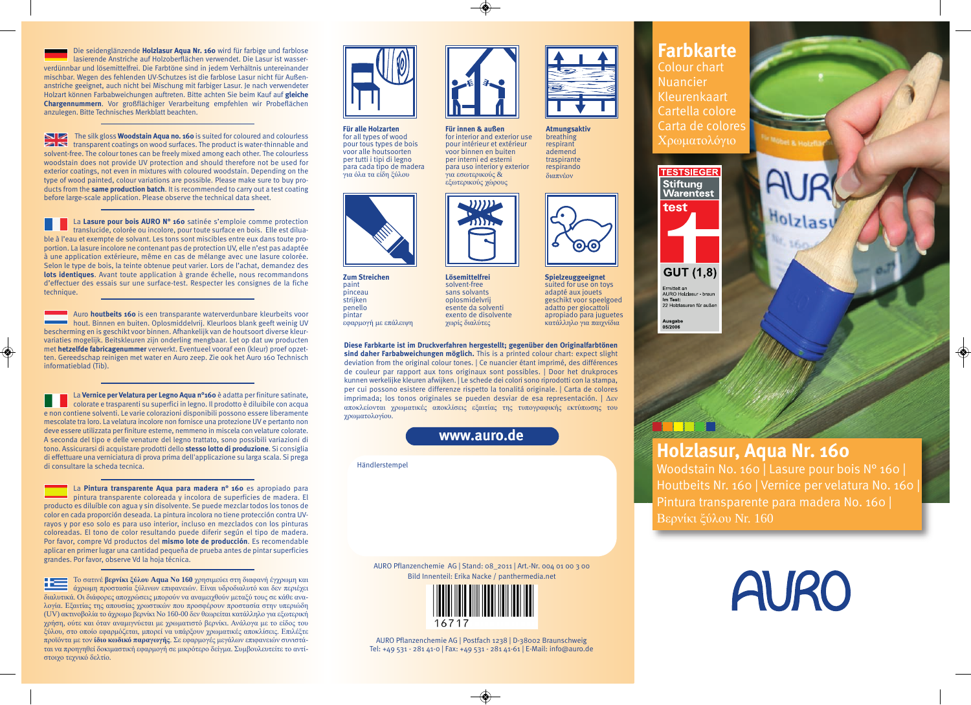Die seidenglänzende **Holzlasur Aqua Nr. 160** wird für farbige und farblose lasierende Anstriche auf Holzoberflächen verwendet. Die Lasur ist wasserverdünnbar und lösemittelfrei. Die Farbtöne sind in jedem Verhältnis untereinander mischbar. Wegen des fehlenden UV-Schutzes ist die farblose Lasur nicht für Außenanstriche geeignet, auch nicht bei Mischung mit farbiger Lasur. Je nach verwendeter Holzart können Farbabweichungen auftreten. Bitte achten Sie beim Kauf auf **gleiche Chargennummern**. Vor großflächiger Verarbeitung empfehlen wir Probeflächen anzulegen. Bitte Technisches Merkblatt beachten.

The silk gloss **Woodstain Aqua no. 160** is suited for coloured and colourless  $\sim$  transparent coatings on wood surfaces. The product is water-thinnable and solvent-free. The colour tones can be freely mixed among each other. The colourless woodstain does not provide UV protection and should therefore not be used for exterior coatings, not even in mixtures with coloured woodstain. Depending on the type of wood painted, colour variations are possible. Please make sure to buy products from the **same production batch**. It is recommended to carry out a test coating before large-scale application. Please observe the technical data sheet.

La **Lasure pour bois AURO N° 160** satinée s'emploie comme protection translucide, colorée ou incolore, pour toute surface en bois. Elle est diluable à l'eau et exempte de solvant. Les tons sont miscibles entre eux dans toute proportion. La lasure incolore ne contenant pas de protection UV, elle n'est pas adaptée à une application extérieure, même en cas de mélange avec une lasure colorée. Selon le type de bois, la teinte obtenue peut varier. Lors de l'achat, demandez des **lots identiques**. Avant toute application à grande échelle, nous recommandons d'effectuer des essais sur une surface-test. Respecter les consignes de la fiche technique.

Auro **houtbeits 160** is een transparante waterverdunbare kleurbeits voor hout. Binnen en buiten. Oplosmiddelvrij. Kleurloos blank geeft weinig UV bescherming en is geschikt voor binnen. Afhankelijk van de houtsoort diverse kleurvariaties mogelijk. Beitskleuren zijn onderling mengbaar. Let op dat uw producten met **hetzelfde fabricagenummer** verwerkt. Eventueel vooraf een (kleur) proef opzetten. Gereedschap reinigen met water en Auro zeep. Zie ook het Auro 160 Technisch informatieblad (Tib).

La **Vernice per Velatura per Legno Aqua n°160** è adatta per finiture satinate, colorate e trasparenti su superfici in legno. Il prodotto è diluibile con acqua e non contiene solventi. Le varie colorazioni disponibili possono essere liberamente mescolate tra loro. La velatura incolore non fornisce una protezione UV e pertanto non deve essere utilizzata per finiture esterne, nemmeno in miscela con velature colorate. A seconda del tipo e delle venature del legno trattato, sono possibili variazioni di tono. Assicurarsi di acquistare prodotti dello **stesso lotto di produzione**. Si consiglia di effettuare una verniciatura di prova prima dell'applicazione su larga scala. Si prega di consultare la scheda tecnica.

La **Pintura transparente Aqua para madera n° 160** es apropiado para pintura transparente coloreada y incolora de superficies de madera. El producto es diluíble con agua y sin disolvente. Se puede mezclar todos los tonos de color en cada proporción deseada. La pintura incolora no tiene protección contra UVrayos y por eso solo es para uso interior, incluso en mezclados con los pinturas coloreadas. El tono de color resultando puede diferir según el tipo de madera. Por favor, compre Vd productos del **mismo lote de producción**. Es recomendable aplicar en primer lugar una cantidad pequeña de prueba antes de pintar superficies grandes. Por favor, observe Vd la hoja técnica.

Το σατινέ **βερνίκι ξύλου Aqua Νο 160** χρησιμεύει στη διαφανή έγχρωμη και æ άχρωμη προστασία ξύλινων επιφανειών. Είναι υδροδιαλυτό και δεν περιέχει διαλυτικά. Οι διάφορες αποχρώσεις μπορούν να αναμειχθούν μεταξύ τους σε κάθε αναλογία. Eξαιτίας της απουσίας χρωστικών που προσφέρουν προστασία στην υπεριώδη (UV) ακτινοβολία το άχρωμο βερνίκι Νο 160-00 δεν θεωρείται κατάλληλο για εξωτερική χρήση, ούτε και όταν αναμιγνύεται με χρωματιστό βερνίκι. Ανάλογα με το είδος του ξύλου, στο οποίο εφαρμόζεται, μπορεί να υπάρξουν χρωματικές αποκλίσεις. Επιλέξτε προϊόντα με τον **ίδιο κωδικό παραγωγής**. Σε εφαρμογές μεγάλων επιφανειών συνιστάται να προηγηθεί δοκιμαστική εφαρμογή σε μικρότερο δείγμα. Συμβουλευτείτε το αντίστοιχο τεχνικό δελτίο.



**Für alle Holzarten** for all types of wood pour tous types de bois voor alle houtsoorten per tutti i tipi di legno para cada tipo de madera για όλα τα είδη ξύλου



**Zum Streichen** paint pinceau **strijken** penello pintar εφαρμογή με επάλειψη **Lösemittelfrei** solvent-free sans solvants oplosmidelvrij esente da solventi exento de disolvente χωρίς διαλύτες

and a

**Für innen & außen** for interior and exterior use pour intérieur et extérieur voor binnen en buiten per interni ed esterni para uso interior y exterior για εσωτερικούς & εξωτερικούς χώρους

**Atmungsaktiv** breathing respirant ademend traspirante respirando διαπνέον

**Spielzeuggeeignet** suited for use on toys adapté aux jouets geschikt voor speelgoed adatto per giocattoli apropiado para juguetes κατάλληλο για παιχνίδια

**Diese Farbkarte ist im Druckverfahren hergestellt; gegenüber den Originalfarbtönen sind daher Farbabweichungen möglich.** This is a printed colour chart: expect slight deviation from the original colour tones. | Ce nuancier étant imprimé, des différences de couleur par rapport aux tons originaux sont possibles. | Door het drukproces kunnen werkelijke kleuren afwijken. | Le schede dei colori sono riprodotti con la stampa, per cui possono esistere differenze rispetto la tonalitá originale. | Carta de colores imprimada; los tonos originales se pueden desviar de esa representación. | Δεν αποκλείονται χρωματικές αποκλίσεις εξαιτίας της τυπογραφικής εκτύπωσης του χρωματολογίου.

**www.auro.de**

#### Händlerstempel

AURO Pflanzenchemie AG | Stand: 08\_2011 | Art.-Nr. 004 01 00 3 00 Bild Innenteil: Erika Nacke / panthermedia.net



AURO Pflanzenchemie AG | Postfach 1238 | D-38002 Braunschweig Tel: +49 531 - 281 41-0 | Fax: +49 531 - 281 41-61 | E-Mail: info@auro.de

# **Farbkarte**

Colour chart Nuancier Kleurenkaart Cartella colore Carta de colores Χρωματολόγιο



**GUT (1.8)** Ermittelt an<br>AURO Ho**lzl**asur - braun<br>**Im Test:**<br>22 Holzlasuren für außen

Ausgabe<br>05/2006

## **Holzlasur, Aqua Nr. 160**

Woodstain No. 160 | Lasure pour bois N° 160 | Houtbeits Nr. 160 | Vernice per velatura No. 160 | Pintura transparente para madera No. 160 | Βερνίκι ξύλου Nr. 160

**AURO**